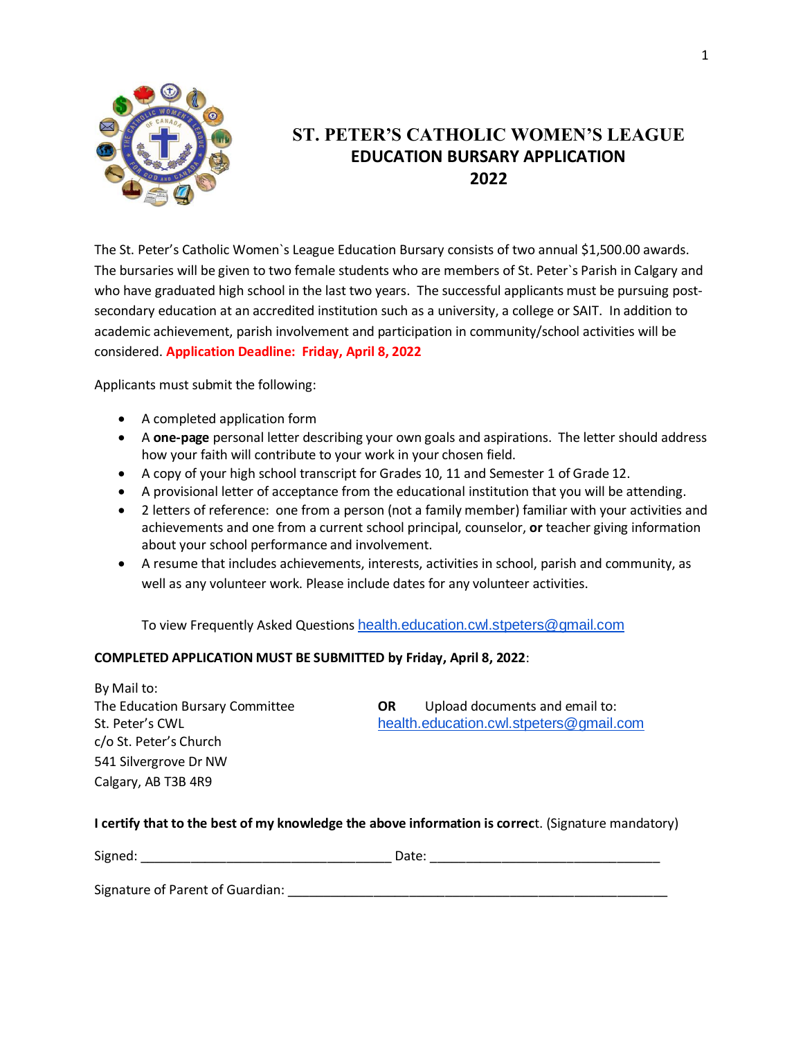

### **ST. PETER'S CATHOLIC WOMEN'S LEAGUE EDUCATION BURSARY APPLICATION 2022**

The St. Peter's Catholic Women`s League Education Bursary consists of two annual \$1,500.00 awards. The bursaries will be given to two female students who are members of St. Peter`s Parish in Calgary and who have graduated high school in the last two years. The successful applicants must be pursuing postsecondary education at an accredited institution such as a university, a college or SAIT. In addition to academic achievement, parish involvement and participation in community/school activities will be considered. **Application Deadline: Friday, April 8, 2022**

Applicants must submit the following:

- A completed application form
- A **one-page** personal letter describing your own goals and aspirations. The letter should address how your faith will contribute to your work in your chosen field.
- A copy of your high school transcript for Grades 10, 11 and Semester 1 of Grade 12.
- A provisional letter of acceptance from the educational institution that you will be attending.
- 2 letters of reference: one from a person (not a family member) familiar with your activities and achievements and one from a current school principal, counselor, **or** teacher giving information about your school performance and involvement.
- A resume that includes achievements, interests, activities in school, parish and community, as well as any volunteer work. Please include dates for any volunteer activities.

To view Frequently Asked Questions health.education.cwl.stpeters@gmail.com

### **COMPLETED APPLICATION MUST BE SUBMITTED by Friday, April 8, 2022**:

By Mail to: The Education Bursary Committee **OR** Upload documents and email to: St. Peter's CWL health.education.cwl.stpeters@gmail.com c/o St. Peter's Church 541 Silvergrove Dr NW Calgary, AB T3B 4R9

### **I certify that to the best of my knowledge the above information is correc**t. (Signature mandatory)

| Signed: | vale. |
|---------|-------|
|         |       |

Signature of Parent of Guardian: \_\_\_\_\_\_\_\_\_\_\_\_\_\_\_\_\_\_\_\_\_\_\_\_\_\_\_\_\_\_\_\_\_\_\_\_\_\_\_\_\_\_\_\_\_\_\_\_\_\_\_\_\_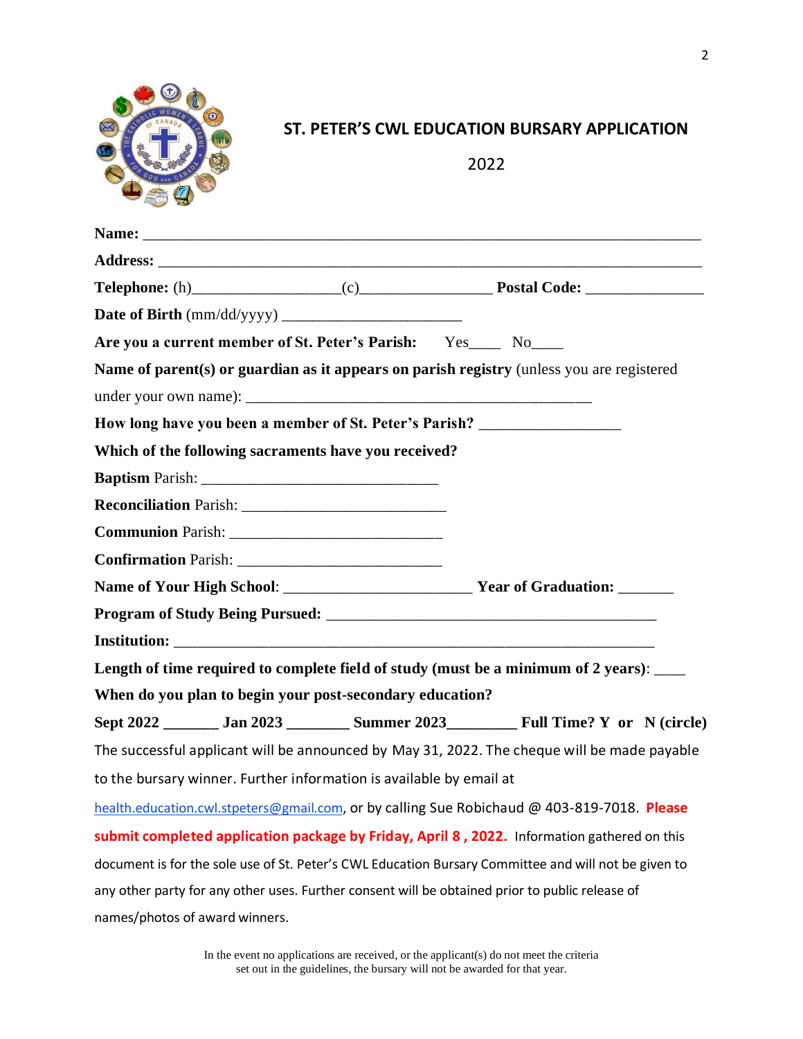

## **ST. PETER'S CWL EDUCATION BURSARY APPLICATION**

2022

|                                | Are you a current member of St. Peter's Parish: Yes____ No____                   |  |                                                                                                      |
|--------------------------------|----------------------------------------------------------------------------------|--|------------------------------------------------------------------------------------------------------|
|                                |                                                                                  |  | Name of parent(s) or guardian as it appears on parish registry (unless you are registered            |
|                                |                                                                                  |  |                                                                                                      |
|                                | How long have you been a member of St. Peter's Parish? _________________________ |  |                                                                                                      |
|                                | Which of the following sacraments have you received?                             |  |                                                                                                      |
|                                |                                                                                  |  |                                                                                                      |
|                                |                                                                                  |  |                                                                                                      |
|                                |                                                                                  |  |                                                                                                      |
|                                |                                                                                  |  |                                                                                                      |
|                                |                                                                                  |  |                                                                                                      |
|                                |                                                                                  |  |                                                                                                      |
|                                |                                                                                  |  |                                                                                                      |
|                                |                                                                                  |  | Length of time required to complete field of study (must be a minimum of 2 years): ___               |
|                                | When do you plan to begin your post-secondary education?                         |  |                                                                                                      |
|                                |                                                                                  |  | Sept 2022 _______ Jan 2023 _________ Summer 2023 __________ Full Time? Y or N (circle)               |
|                                |                                                                                  |  | The successful applicant will be announced by May 31, 2022. The cheque will be made payable          |
|                                | to the bursary winner. Further information is available by email at              |  |                                                                                                      |
|                                |                                                                                  |  | health.education.cwl.stpeters@gmail.com, or by calling Sue Robichaud @ 403-819-7018. Please          |
|                                |                                                                                  |  | submit completed application package by Friday, April 8, 2022. Information gathered on this          |
|                                |                                                                                  |  | document is for the sole use of St. Peter's CWL Education Bursary Committee and will not be given to |
|                                |                                                                                  |  | any other party for any other uses. Further consent will be obtained prior to public release of      |
| names/photos of award winners. |                                                                                  |  |                                                                                                      |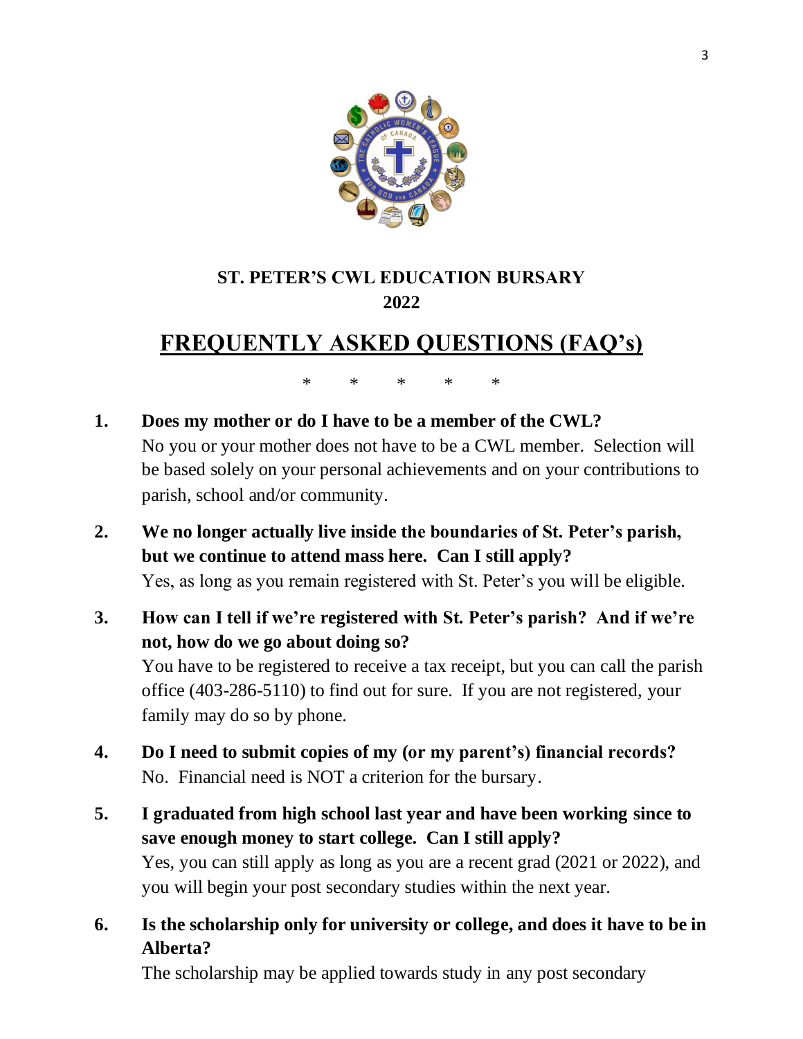

## **ST. PETER'S CWL EDUCATION BURSARY 2022**

# **FREQUENTLY ASKED QUESTIONS (FAQ's)**

\* \* \* \* \*

- **1. Does my mother or do I have to be a member of the CWL?** No you or your mother does not have to be a CWL member. Selection will be based solely on your personal achievements and on your contributions to parish, school and/or community.
- **2. We no longer actually live inside the boundaries of St. Peter's parish, but we continue to attend mass here. Can I still apply?** Yes, as long as you remain registered with St. Peter's you will be eligible.
- **3. How can I tell if we're registered with St. Peter's parish? And if we're not, how do we go about doing so?**

You have to be registered to receive a tax receipt, but you can call the parish office (403-286-5110) to find out for sure. If you are not registered, your family may do so by phone.

- **4. Do I need to submit copies of my (or my parent's) financial records?** No. Financial need is NOT a criterion for the bursary.
- **5. I graduated from high school last year and have been working since to save enough money to start college. Can I still apply?** Yes, you can still apply as long as you are a recent grad (2021 or 2022), and you will begin your post secondary studies within the next year.
- **6. Is the scholarship only for university or college, and does it have to be in Alberta?**

The scholarship may be applied towards study in any post secondary